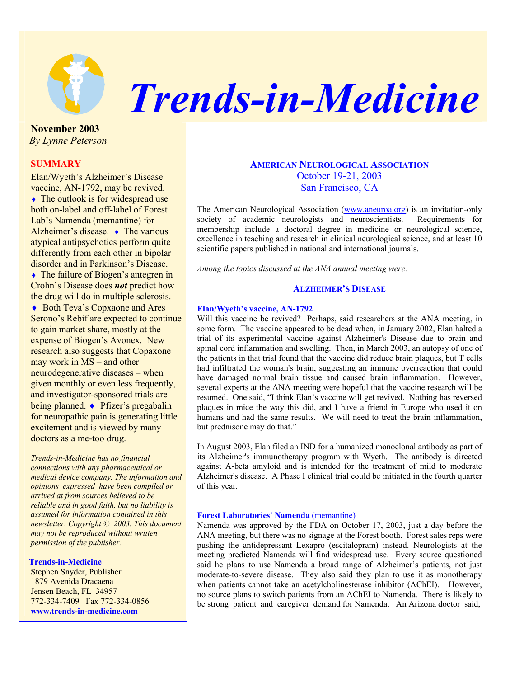

# *Trends-in-Medicine*

**November 2003**  *By Lynne Peterson* 

## **SUMMARY**

Elan/Wyeth's Alzheimer's Disease vaccine, AN-1792, may be revived.  $\triangle$  The outlook is for widespread use both on-label and off-label of Forest Lab's Namenda (memantine) for Alzheimer's disease. ♦ The various atypical antipsychotics perform quite differently from each other in bipolar disorder and in Parkinson's Disease.

• The failure of Biogen's antegren in Crohn's Disease does *not* predict how the drug will do in multiple sclerosis.

♦ Both Teva's Copxaone and Ares Serono's Rebif are expected to continue to gain market share, mostly at the expense of Biogen's Avonex. New research also suggests that Copaxone may work in MS – and other neurodegenerative diseases – when given monthly or even less frequently, and investigator-sponsored trials are being planned. ♦ Pfizer's pregabalin for neuropathic pain is generating little excitement and is viewed by many doctors as a me-too drug.

*Trends-in-Medicine has no financial connections with any pharmaceutical or medical device company. The information and opinions expressed have been compiled or arrived at from sources believed to be reliable and in good faith, but no liability is assumed for information contained in this newsletter. Copyright © 2003. This document may not be reproduced without written permission of the publisher.*

#### **Trends-in-Medicine**

Stephen Snyder, Publisher 1879 Avenida Dracaena Jensen Beach, FL 34957 772-334-7409 Fax 772-334-0856 **www.trends-in-medicine.com**

# **AMERICAN NEUROLOGICAL ASSOCIATION** October 19-21, 2003 San Francisco, CA

The American Neurological Association (www.aneuroa.org) is an invitation-only society of academic neurologists and neuroscientists. Requirements for membership include a doctoral degree in medicine or neurological science, excellence in teaching and research in clinical neurological science, and at least 10 scientific papers published in national and international journals.

*Among the topics discussed at the ANA annual meeting were:* 

## **ALZHEIMER'S DISEASE**

#### **Elan/Wyeth's vaccine, AN-1792**

Will this vaccine be revived? Perhaps, said researchers at the ANA meeting, in some form. The vaccine appeared to be dead when, in January 2002, Elan halted a trial of its experimental vaccine against Alzheimer's Disease due to brain and spinal cord inflammation and swelling. Then, in March 2003, an autopsy of one of the patients in that trial found that the vaccine did reduce brain plaques, but T cells had infiltrated the woman's brain, suggesting an immune overreaction that could have damaged normal brain tissue and caused brain inflammation. However, several experts at the ANA meeting were hopeful that the vaccine research will be resumed. One said, "I think Elan's vaccine will get revived. Nothing has reversed plaques in mice the way this did, and I have a friend in Europe who used it on humans and had the same results. We will need to treat the brain inflammation, but prednisone may do that."

In August 2003, Elan filed an IND for a humanized monoclonal antibody as part of its Alzheimer's immunotherapy program with Wyeth. The antibody is directed against A-beta amyloid and is intended for the treatment of mild to moderate Alzheimer's disease. A Phase I clinical trial could be initiated in the fourth quarter of this year.

#### **Forest Laboratories' Namenda** (memantine)

Namenda was approved by the FDA on October 17, 2003, just a day before the ANA meeting, but there was no signage at the Forest booth. Forest sales reps were pushing the antidepressant Lexapro (escitalopram) instead. Neurologists at the meeting predicted Namenda will find widespread use. Every source questioned said he plans to use Namenda a broad range of Alzheimer's patients, not just moderate-to-severe disease. They also said they plan to use it as monotherapy when patients cannot take an acetylcholinesterase inhibitor (AChEI). However, no source plans to switch patients from an AChEI to Namenda. There is likely to be strong patient and caregiver demand for Namenda. An Arizona doctor said,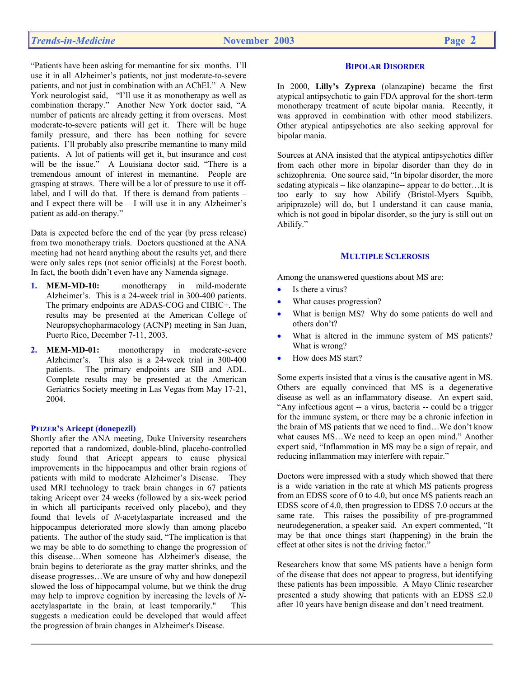"Patients have been asking for memantine for six months. I'll use it in all Alzheimer's patients, not just moderate-to-severe patients, and not just in combination with an AChEI." A New York neurologist said, "I'll use it as monotherapy as well as combination therapy." Another New York doctor said, "A number of patients are already getting it from overseas. Most moderate-to-severe patients will get it. There will be huge family pressure, and there has been nothing for severe patients. I'll probably also prescribe memantine to many mild patients. A lot of patients will get it, but insurance and cost will be the issue." A Louisiana doctor said, "There is a tremendous amount of interest in memantine. People are grasping at straws. There will be a lot of pressure to use it offlabel, and I will do that. If there is demand from patients – and I expect there will be  $- I$  will use it in any Alzheimer's patient as add-on therapy."

Data is expected before the end of the year (by press release) from two monotherapy trials. Doctors questioned at the ANA meeting had not heard anything about the results yet, and there were only sales reps (not senior officials) at the Forest booth. In fact, the booth didn't even have any Namenda signage.

- **1. MEM-MD-10:** monotherapy in mild-moderate Alzheimer's. This is a 24-week trial in 300-400 patients. The primary endpoints are ADAS-COG and CIBIC+. The results may be presented at the American College of Neuropsychopharmacology (ACNP) meeting in San Juan, Puerto Rico, December 7-11, 2003.
- **2. MEM-MD-01:** monotherapy in moderate-severe Alzheimer's. This also is a 24-week trial in 300-400 patients. The primary endpoints are SIB and ADL. Complete results may be presented at the American Geriatrics Society meeting in Las Vegas from May 17-21, 2004.

## **PFIZER'S Aricept (donepezil)**

Shortly after the ANA meeting, Duke University researchers reported that a randomized, double-blind, placebo-controlled study found that Aricept appears to cause physical improvements in the hippocampus and other brain regions of patients with mild to moderate Alzheimer's Disease. They used MRI technology to track brain changes in 67 patients taking Aricept over 24 weeks (followed by a six-week period in which all participants received only placebo), and they found that levels of *N*-acetylaspartate increased and the hippocampus deteriorated more slowly than among placebo patients. The author of the study said, "The implication is that we may be able to do something to change the progression of this disease…When someone has Alzheimer's disease, the brain begins to deteriorate as the gray matter shrinks, and the disease progresses…We are unsure of why and how donepezil slowed the loss of hippocampal volume, but we think the drug may help to improve cognition by increasing the levels of *N*acetylaspartate in the brain, at least temporarily." This suggests a medication could be developed that would affect the progression of brain changes in Alzheimer's Disease.

## **BIPOLAR DISORDER**

In 2000, **Lilly's Zyprexa** (olanzapine) became the first atypical antipsychotic to gain FDA approval for the short-term monotherapy treatment of acute bipolar mania. Recently, it was approved in combination with other mood stabilizers. Other atypical antipsychotics are also seeking approval for bipolar mania.

Sources at ANA insisted that the atypical antipsychotics differ from each other more in bipolar disorder than they do in schizophrenia. One source said, "In bipolar disorder, the more sedating atypicals – like olanzapine-- appear to do better...It is too early to say how Abilify (Bristol-Myers Squibb, aripiprazole) will do, but I understand it can cause mania, which is not good in bipolar disorder, so the jury is still out on Abilify."

## **MULTIPLE SCLEROSIS**

Among the unanswered questions about MS are:

- Is there a virus?
- What causes progression?
- What is benign MS? Why do some patients do well and others don't?
- What is altered in the immune system of MS patients? What is wrong?
- How does MS start?

Some experts insisted that a virus is the causative agent in MS. Others are equally convinced that MS is a degenerative disease as well as an inflammatory disease. An expert said, "Any infectious agent -- a virus, bacteria -- could be a trigger for the immune system, or there may be a chronic infection in the brain of MS patients that we need to find…We don't know what causes MS…We need to keep an open mind." Another expert said, "Inflammation in MS may be a sign of repair, and reducing inflammation may interfere with repair."

Doctors were impressed with a study which showed that there is a wide variation in the rate at which MS patients progress from an EDSS score of 0 to 4.0, but once MS patients reach an EDSS score of 4.0, then progression to EDSS 7.0 occurs at the same rate. This raises the possibility of pre-programmed neurodegeneration, a speaker said. An expert commented, "It may be that once things start (happening) in the brain the effect at other sites is not the driving factor."

Researchers know that some MS patients have a benign form of the disease that does not appear to progress, but identifying these patients has been impossible. A Mayo Clinic researcher presented a study showing that patients with an EDSS  $\leq 2.0$ after 10 years have benign disease and don't need treatment.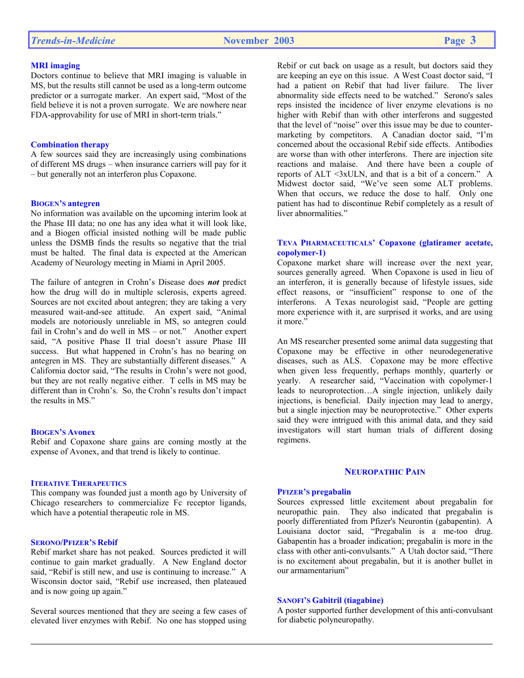# *Trends-in-Medicine* **November 2003 Page 3**

## **MRI imaging**

Doctors continue to believe that MRI imaging is valuable in MS, but the results still cannot be used as a long-term outcome predictor or a surrogate marker. An expert said, "Most of the field believe it is not a proven surrogate. We are nowhere near FDA-approvability for use of MRI in short-term trials."

#### **Combination therapy**

A few sources said they are increasingly using combinations of different MS drugs – when insurance carriers will pay for it – but generally not an interferon plus Copaxone.

## **BIOGEN'S antegren**

No information was available on the upcoming interim look at the Phase III data; no one has any idea what it will look like, and a Biogen official insisted nothing will be made public unless the DSMB finds the results so negative that the trial must be halted. The final data is expected at the American Academy of Neurology meeting in Miami in April 2005.

The failure of antegren in Crohn's Disease does *not* predict how the drug will do in multiple sclerosis, experts agreed. Sources are not excited about antegren; they are taking a very measured wait-and-see attitude. An expert said, "Animal models are notoriously unreliable in MS, so antegren could fail in Crohn's and do well in MS – or not." Another expert said, "A positive Phase II trial doesn't assure Phase III success. But what happened in Crohn's has no bearing on antegren in MS. They are substantially different diseases." A California doctor said, "The results in Crohn's were not good, but they are not really negative either. T cells in MS may be different than in Crohn's. So, the Crohn's results don't impact the results in MS<sup>"</sup>

#### **BIOGEN'S Avonex**

Rebif and Copaxone share gains are coming mostly at the expense of Avonex, and that trend is likely to continue.

#### **ITERATIVE THERAPEUTICS**

This company was founded just a month ago by University of Chicago researchers to commercialize Fc receptor ligands, which have a potential therapeutic role in MS.

## **SERONO/PFIZER'S Rebif**

Rebif market share has not peaked. Sources predicted it will continue to gain market gradually. A New England doctor said, "Rebif is still new, and use is continuing to increase." A Wisconsin doctor said, "Rebif use increased, then plateaued and is now going up again."

Several sources mentioned that they are seeing a few cases of elevated liver enzymes with Rebif. No one has stopped using

Rebif or cut back on usage as a result, but doctors said they are keeping an eye on this issue. A West Coast doctor said, "I had a patient on Rebif that had liver failure. The liver abnormality side effects need to be watched." Serono's sales reps insisted the incidence of liver enzyme elevations is no higher with Rebif than with other interferons and suggested that the level of "noise" over this issue may be due to countermarketing by competitors. A Canadian doctor said, "I'm concerned about the occasional Rebif side effects. Antibodies are worse than with other interferons. There are injection site reactions and malaise. And there have been a couple of reports of ALT <3xULN, and that is a bit of a concern." A Midwest doctor said, "We've seen some ALT problems. When that occurs, we reduce the dose to half. Only one patient has had to discontinue Rebif completely as a result of liver abnormalities."

## **TEVA PHARMACEUTICALS' Copaxone (glatiramer acetate, copolymer-1)**

Copaxone market share will increase over the next year, sources generally agreed. When Copaxone is used in lieu of an interferon, it is generally because of lifestyle issues, side effect reasons, or "insufficient" response to one of the interferons. A Texas neurologist said, "People are getting more experience with it, are surprised it works, and are using it more."

An MS researcher presented some animal data suggesting that Copaxone may be effective in other neurodegenerative diseases, such as ALS. Copaxone may be more effective when given less frequently, perhaps monthly, quarterly or yearly. A researcher said, "Vaccination with copolymer-1 leads to neuroprotection…A single injection, unlikely daily injections, is beneficial. Daily injection may lead to anergy, but a single injection may be neuroprotective." Other experts said they were intrigued with this animal data, and they said investigators will start human trials of different dosing regimens.

## **NEUROPATHIC PAIN**

#### **PFIZER'S pregabalin**

Sources expressed little excitement about pregabalin for neuropathic pain. They also indicated that pregabalin is poorly differentiated from Pfizer's Neurontin (gabapentin). A Louisiana doctor said, "Pregabalin is a me-too drug. Gabapentin has a broader indication; pregabalin is more in the class with other anti-convulsants." A Utah doctor said, "There is no excitement about pregabalin, but it is another bullet in our armamentarium"

#### **SANOFI'S Gabitril (tiagabine)**

A poster supported further development of this anti-convulsant for diabetic polyneuropathy.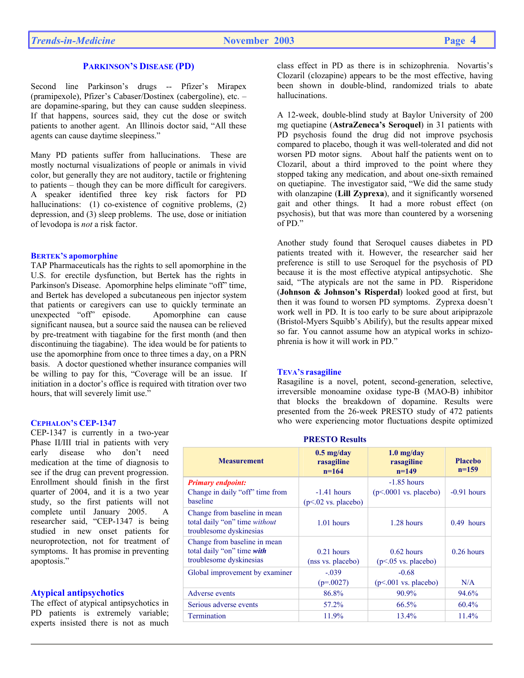## **PARKINSON'S DISEASE (PD)**

Second line Parkinson's drugs -- Pfizer's Mirapex (pramipexole), Pfizer's Cabaser/Dostinex (cabergoline), etc. – are dopamine-sparing, but they can cause sudden sleepiness. If that happens, sources said, they cut the dose or switch patients to another agent. An Illinois doctor said, "All these agents can cause daytime sleepiness."

Many PD patients suffer from hallucinations. These are mostly nocturnal visualizations of people or animals in vivid color, but generally they are not auditory, tactile or frightening to patients – though they can be more difficult for caregivers. A speaker identified three key risk factors for PD hallucinations: (1) co-existence of cognitive problems, (2) depression, and (3) sleep problems. The use, dose or initiation of levodopa is *not* a risk factor.

#### **BERTEK'S apomorphine**

TAP Pharmaceuticals has the rights to sell apomorphine in the U.S. for erectile dysfunction, but Bertek has the rights in Parkinson's Disease. Apomorphine helps eliminate "off" time, and Bertek has developed a subcutaneous pen injector system that patients or caregivers can use to quickly terminate an unexpected "off" episode. Apomorphine can cause significant nausea, but a source said the nausea can be relieved by pre-treatment with tiagabine for the first month (and then discontinuing the tiagabine). The idea would be for patients to use the apomorphine from once to three times a day, on a PRN basis. A doctor questioned whether insurance companies will be willing to pay for this, "Coverage will be an issue. If initiation in a doctor's office is required with titration over two hours, that will severely limit use."

#### **CEPHALON'S CEP-1347**

CEP-1347 is currently in a two-year Phase II/III trial in patients with very early disease who don't need medication at the time of diagnosis to see if the drug can prevent progression. Enrollment should finish in the first quarter of 2004, and it is a two year study, so the first patients will not complete until January 2005. A researcher said, "CEP-1347 is being studied in new onset patients for neuroprotection, not for treatment of symptoms. It has promise in preventing apoptosis."

## **Atypical antipsychotics**

The effect of atypical antipsychotics in PD patients is extremely variable; experts insisted there is not as much

class effect in PD as there is in schizophrenia. Novartis's Clozaril (clozapine) appears to be the most effective, having been shown in double-blind, randomized trials to abate hallucinations.

A 12-week, double-blind study at Baylor University of 200 mg quetiapine (**AstraZeneca's Seroquel**) in 31 patients with PD psychosis found the drug did not improve psychosis compared to placebo, though it was well-tolerated and did not worsen PD motor signs. About half the patients went on to Clozaril, about a third improved to the point where they stopped taking any medication, and about one-sixth remained on quetiapine. The investigator said, "We did the same study with olanzapine (**Lill Zyprexa**), and it significantly worsened gait and other things. It had a more robust effect (on psychosis), but that was more than countered by a worsening of PD."

Another study found that Seroquel causes diabetes in PD patients treated with it. However, the researcher said her preference is still to use Seroquel for the psychosis of PD because it is the most effective atypical antipsychotic. She said, "The atypicals are not the same in PD. Risperidone (**Johnson & Johnson's Risperdal**) looked good at first, but then it was found to worsen PD symptoms. Zyprexa doesn't work well in PD. It is too early to be sure about aripiprazole (Bristol-Myers Squibb's Abilify), but the results appear mixed so far. You cannot assume how an atypical works in schizophrenia is how it will work in PD."

#### **TEVA'S rasagiline**

Rasagiline is a novel, potent, second-generation, selective, irreversible monoamine oxidase type-B (MAO-B) inhibitor that blocks the breakdown of dopamine. Results were presented from the 26-week PRESTO study of 472 patients who were experiencing motor fluctuations despite optimized

| <b>Measurement</b>                                                                       | $0.5$ mg/day<br>rasagiline<br>$n=164$  | $1.0$ mg/day<br>rasagiline<br>$n=149$    | <b>Placebo</b><br>$n=159$ |
|------------------------------------------------------------------------------------------|----------------------------------------|------------------------------------------|---------------------------|
| <b>Primary endpoint:</b><br>Change in daily "off" time from<br>baseline                  | $-1.41$ hours<br>$(p<.02$ vs. placebo) | $-1.85$ hours<br>$(p<.0001$ vs. placebo) | $-0.91$ hours             |
| Change from baseline in mean<br>total daily "on" time without<br>troublesome dyskinesias | 1.01 hours                             | $1.28$ hours                             | $0.49$ hours              |
| Change from baseline in mean<br>total daily "on" time with<br>troublesome dyskinesias    | $0.21$ hours<br>(nss vs. placebo)      | $0.62$ hours<br>$(p<.05$ vs. placebo)    | $0.26$ hours              |
| Global improvement by examiner                                                           | $-.039$<br>$(p=.0027)$                 | $-0.68$<br>$(p<.001$ vs. placebo)        | N/A                       |
| Adverse events                                                                           | 86.8%                                  | 90.9%                                    | 94.6%                     |
| Serious adverse events                                                                   | 57.2%                                  | 66.5%                                    | $60.4\%$                  |
| Termination                                                                              | 11.9%                                  | 13.4%                                    | 11.4%                     |

## **PRESTO Results**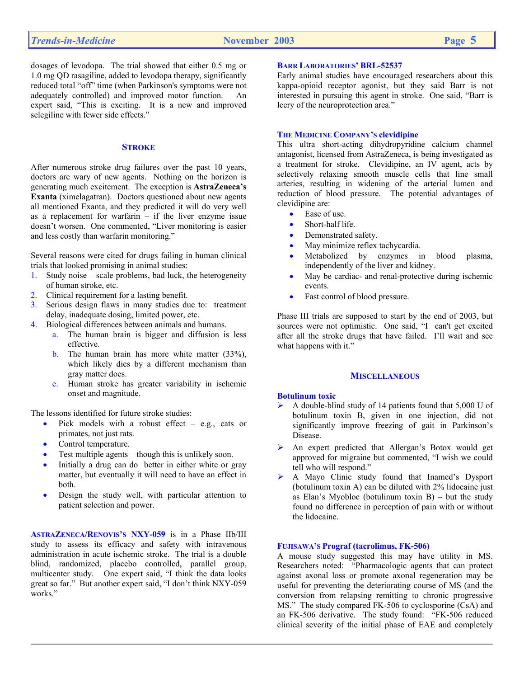dosages of levodopa. The trial showed that either 0.5 mg or 1.0 mg QD rasagiline, added to levodopa therapy, significantly reduced total "off" time (when Parkinson's symptoms were not adequately controlled) and improved motor function. An expert said, "This is exciting. It is a new and improved selegiline with fewer side effects."

## **STROKE**

After numerous stroke drug failures over the past 10 years, doctors are wary of new agents. Nothing on the horizon is generating much excitement. The exception is **AstraZeneca's Exanta** (ximelagatran). Doctors questioned about new agents all mentioned Exanta, and they predicted it will do very well as a replacement for warfarin – if the liver enzyme issue doesn't worsen. One commented, "Liver monitoring is easier and less costly than warfarin monitoring."

Several reasons were cited for drugs failing in human clinical trials that looked promising in animal studies:

- 1. Study noise scale problems, bad luck, the heterogeneity of human stroke, etc.
- 2. Clinical requirement for a lasting benefit.
- 3. Serious design flaws in many studies due to: treatment delay, inadequate dosing, limited power, etc.
- 4. Biological differences between animals and humans.
	- a. The human brain is bigger and diffusion is less effective.
	- b. The human brain has more white matter  $(33\%),$ which likely dies by a different mechanism than gray matter does.
	- c. Human stroke has greater variability in ischemic onset and magnitude.

The lessons identified for future stroke studies:

- Pick models with a robust effect e.g., cats or primates, not just rats.
- Control temperature.
- Test multiple agents though this is unlikely soon.
- Initially a drug can do better in either white or gray matter, but eventually it will need to have an effect in both.
- Design the study well, with particular attention to patient selection and power.

**ASTRAZENECA/RENOVIS'S NXY-059** is in a Phase IIb/III study to assess its efficacy and safety with intravenous administration in acute ischemic stroke. The trial is a double blind, randomized, placebo controlled, parallel group, multicenter study. One expert said, "I think the data looks great so far." But another expert said, "I don't think NXY-059 works."

#### **BARR LABORATORIES' BRL-52537**

Early animal studies have encouraged researchers about this kappa-opioid receptor agonist, but they said Barr is not interested in pursuing this agent in stroke. One said, "Barr is leery of the neuroprotection area."

#### **THE MEDICINE COMPANY'S clevidipine**

This ultra short-acting dihydropyridine calcium channel antagonist, licensed from AstraZeneca, is being investigated as a treatment for stroke. Clevidipine, an IV agent, acts by selectively relaxing smooth muscle cells that line small arteries, resulting in widening of the arterial lumen and reduction of blood pressure. The potential advantages of clevidipine are:

- Ease of use.
- Short-half life.
- Demonstrated safety.
- May minimize reflex tachycardia.
- Metabolized by enzymes in blood plasma, independently of the liver and kidney.
- May be cardiac- and renal-protective during ischemic events.
- Fast control of blood pressure.

Phase III trials are supposed to start by the end of 2003, but sources were not optimistic. One said, "I can't get excited after all the stroke drugs that have failed. I'll wait and see what happens with it."

#### **MISCELLANEOUS**

#### **Botulinum toxic**

- $\blacktriangleright$  A double-blind study of 14 patients found that 5,000 U of botulinum toxin B, given in one injection, did not significantly improve freezing of gait in Parkinson's Disease.
- ¾ An expert predicted that Allergan's Botox would get approved for migraine but commented, "I wish we could tell who will respond."
- ¾ A Mayo Clinic study found that Inamed's Dysport (botulinum toxin A) can be diluted with 2% lidocaine just as Elan's Myobloc (botulinum toxin B) – but the study found no difference in perception of pain with or without the lidocaine.

## **FUJISAWA'S Prograf (tacrolimus, FK-506)**

A mouse study suggested this may have utility in MS. Researchers noted: "Pharmacologic agents that can protect against axonal loss or promote axonal regeneration may be useful for preventing the deteriorating course of MS (and the conversion from relapsing remitting to chronic progressive MS." The study compared FK-506 to cyclosporine (CsA) and an FK-506 derivative. The study found: "FK-506 reduced clinical severity of the initial phase of EAE and completely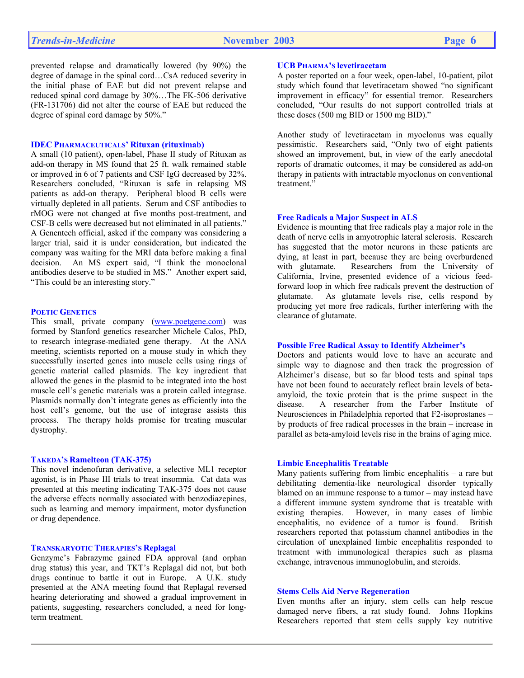prevented relapse and dramatically lowered (by 90%) the degree of damage in the spinal cord…CsA reduced severity in the initial phase of EAE but did not prevent relapse and reduced spinal cord damage by 30%…The FK-506 derivative (FR-131706) did not alter the course of EAE but reduced the degree of spinal cord damage by 50%."

#### **IDEC PHARMACEUTICALS' Rituxan (rituximab)**

A small (10 patient), open-label, Phase II study of Rituxan as add-on therapy in MS found that 25 ft. walk remained stable or improved in 6 of 7 patients and CSF IgG decreased by 32%. Researchers concluded, "Rituxan is safe in relapsing MS patients as add-on therapy. Peripheral blood B cells were virtually depleted in all patients. Serum and CSF antibodies to rMOG were not changed at five months post-treatment, and CSF-B cells were decreased but not eliminated in all patients." A Genentech official, asked if the company was considering a larger trial, said it is under consideration, but indicated the company was waiting for the MRI data before making a final decision. An MS expert said, "I think the monoclonal antibodies deserve to be studied in MS." Another expert said, "This could be an interesting story."

#### **POETIC GENETICS**

This small, private company (www.poetgene.com) was formed by Stanford genetics researcher Michele Calos, PhD, to research integrase-mediated gene therapy. At the ANA meeting, scientists reported on a mouse study in which they successfully inserted genes into muscle cells using rings of genetic material called plasmids. The key ingredient that allowed the genes in the plasmid to be integrated into the host muscle cell's genetic materials was a protein called integrase. Plasmids normally don't integrate genes as efficiently into the host cell's genome, but the use of integrase assists this process. The therapy holds promise for treating muscular dystrophy.

#### **TAKEDA'S Ramelteon (TAK-375)**

This novel indenofuran derivative, a selective ML1 receptor agonist, is in Phase III trials to treat insomnia. Cat data was presented at this meeting indicating TAK-375 does not cause the adverse effects normally associated with benzodiazepines, such as learning and memory impairment, motor dysfunction or drug dependence.

## **TRANSKARYOTIC THERAPIES'S Replagal**

Genzyme's Fabrazyme gained FDA approval (and orphan drug status) this year, and TKT's Replagal did not, but both drugs continue to battle it out in Europe. A U.K. study presented at the ANA meeting found that Replagal reversed hearing deteriorating and showed a gradual improvement in patients, suggesting, researchers concluded, a need for longterm treatment.

## **UCB PHARMA'S levetiracetam**

A poster reported on a four week, open-label, 10-patient, pilot study which found that levetiracetam showed "no significant improvement in efficacy" for essential tremor. Researchers concluded, "Our results do not support controlled trials at these doses (500 mg BID or 1500 mg BID)."

Another study of levetiracetam in myoclonus was equally pessimistic. Researchers said, "Only two of eight patients showed an improvement, but, in view of the early anecdotal reports of dramatic outcomes, it may be considered as add-on therapy in patients with intractable myoclonus on conventional treatment."

## **Free Radicals a Major Suspect in ALS**

Evidence is mounting that free radicals play a major role in the death of nerve cells in amyotrophic lateral sclerosis. Research has suggested that the motor neurons in these patients are dying, at least in part, because they are being overburdened with glutamate. Researchers from the University of California, Irvine, presented evidence of a vicious feedforward loop in which free radicals prevent the destruction of glutamate. As glutamate levels rise, cells respond by producing yet more free radicals, further interfering with the clearance of glutamate.

#### **Possible Free Radical Assay to Identify Alzheimer's**

Doctors and patients would love to have an accurate and simple way to diagnose and then track the progression of Alzheimer's disease, but so far blood tests and spinal taps have not been found to accurately reflect brain levels of betaamyloid, the toxic protein that is the prime suspect in the disease. A researcher from the Farber Institute of Neurosciences in Philadelphia reported that F2-isoprostanes – by products of free radical processes in the brain – increase in parallel as beta-amyloid levels rise in the brains of aging mice.

#### **Limbic Encephalitis Treatable**

Many patients suffering from limbic encephalitis – a rare but debilitating dementia-like neurological disorder typically blamed on an immune response to a tumor – may instead have a different immune system syndrome that is treatable with existing therapies. However, in many cases of limbic encephalitis, no evidence of a tumor is found. British researchers reported that potassium channel antibodies in the circulation of unexplained limbic encephalitis responded to treatment with immunological therapies such as plasma exchange, intravenous immunoglobulin, and steroids.

#### **Stems Cells Aid Nerve Regeneration**

Even months after an injury, stem cells can help rescue damaged nerve fibers, a rat study found. Johns Hopkins Researchers reported that stem cells supply key nutritive